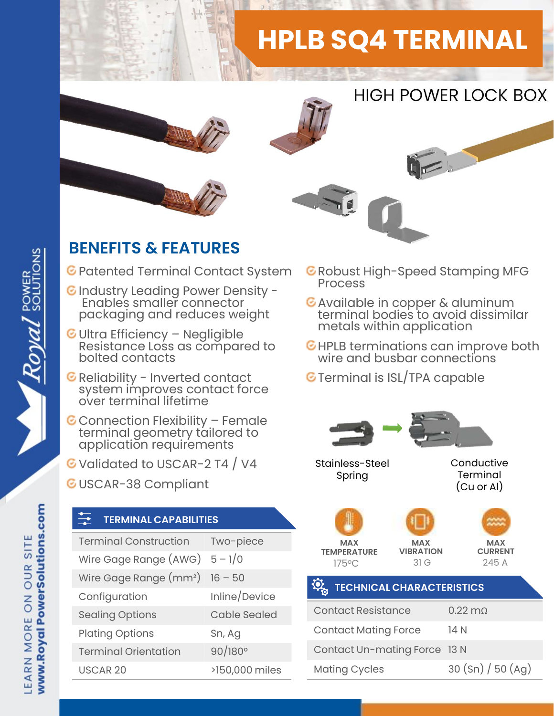# HPLB SQ4 TERMINAL



## HIGH POWER LOCK BOX

 $\sum_{i=1}^{n}$ 

### BENEFITS & FEATURES

- C Patented Terminal Contact System C Robust I<br>Process
- C Industry Leading Power Density -<br>Enables smaller connector C Available in copper & aluminum Enables smaller connector packaging and reduces weight
- **ENEFITS & FEATURES**<br>
Patented Terminal Contact System ERIC<br>
Industry Leading Power Density Resistance Ionnector<br>
Packaging and reduces weight<br>
Ultra Efficiency Negligible<br>
Resistance Loss as compared to EHI<br>
bolted co Reliability Leading Power Density -<br>Finables smaller connector<br>packaging and reduces weight<br>Ultra Efficiency – Negligible<br>Resistance Loss as compared to<br>bolted contacts<br>Reliability - Inverted contact<br>system improves contac
- 
- packaging and reduces weight<br>
Ultra Efficiency Negligible<br>
Resistance Loss as compared to<br>
Reliability Inverted contact<br>
Reliability Inverted contact<br>
System improves contact force<br>
over terminal lifetime<br>
Connection
- G Validated to USCAR-2 T4 / V4
- GUSCAR-38 Compliant

#### TERMINAL CAPABILITIES

| application requirements<br>Validated to USCAR-2 T4 / V4<br><b>USCAR-38 Compliant</b> |                     | Stainless-Ste<br>Spring |                                                      |           |                                                                       |
|---------------------------------------------------------------------------------------|---------------------|-------------------------|------------------------------------------------------|-----------|-----------------------------------------------------------------------|
|                                                                                       |                     |                         | $\frac{1}{\sqrt{2}}$<br><b>TERMINAL CAPABILITIES</b> |           |                                                                       |
|                                                                                       |                     |                         | <b>Terminal Construction</b>                         | Two-piece | <b>MAX</b><br><b>TEMPERATURE</b><br>$175^{\circ}$ C<br><b>TECHNIC</b> |
| Wire Gage Range $(AWG)$ 5 - 1/0                                                       |                     |                         |                                                      |           |                                                                       |
| Wire Gage Range $(mm^2)$ 16 - 50                                                      |                     |                         |                                                      |           |                                                                       |
| Configuration                                                                         | Inline/Device       |                         |                                                      |           |                                                                       |
| <b>Sealing Options</b>                                                                | <b>Cable Sealed</b> | <b>Contact Resi</b>     |                                                      |           |                                                                       |
| <b>Plating Options</b>                                                                | Sn, Ag              | <b>Contact Mati</b>     |                                                      |           |                                                                       |
| <b>Terminal Orientation</b>                                                           | $90/180^{\circ}$    | Contact Un-             |                                                      |           |                                                                       |
| <b>USCAR 20</b>                                                                       | >150,000 miles      | <b>Mating Cycle</b>     |                                                      |           |                                                                       |
|                                                                                       |                     |                         |                                                      |           |                                                                       |

- $\bullet$  Robust High-Speed Stamping MFG
- terminal bodies to avoid dissimilar metals within application
- G HPLB terminations can improve both wire and busbar connections
- **G** Terminal is ISL/TPA capable